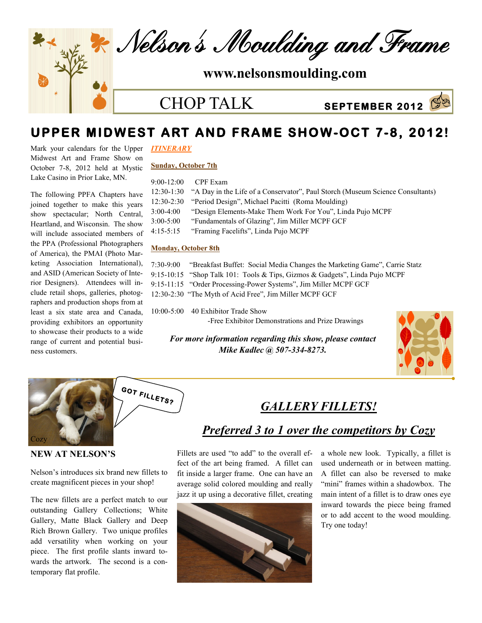

CHOP TALK



# **UPPER MIDWEST ART AND FRAME SHOW-OCT 7-8, 2012!**

Mark your calendars for the Upper *ITINERARY* Midwest Art and Frame Show on October 7-8, 2012 held at Mystic Lake Casino in Prior Lake, MN.

The following PPFA Chapters have joined together to make this years show spectacular; North Central, Heartland, and Wisconsin. The show will include associated members of the PPA (Professional Photographers of America), the PMAI (Photo Marketing Association International), and ASID (American Society of Interior Designers). Attendees will include retail shops, galleries, photographers and production shops from at least a six state area and Canada, providing exhibitors an opportunity to showcase their products to a wide range of current and potential business customers.

**NEW AT NELSON'S**

**Cozy** 

temporary flat profile.

Nelson's introduces six brand new fillets to create magnificent pieces in your shop!

**GOT FILLETS?** 

The new fillets are a perfect match to our outstanding Gallery Collections; White Gallery, Matte Black Gallery and Deep Rich Brown Gallery. Two unique profiles add versatility when working on your piece. The first profile slants inward towards the artwork. The second is a con-

#### **Sunday, October 7th**

9:00-12:00 CPF Exam

|               | 12:30-1:30 "A Day in the Life of a Conservator", Paul Storch (Museum Science Consultants) |
|---------------|-------------------------------------------------------------------------------------------|
|               | 12:30-2:30 "Period Design", Michael Pacitti (Roma Moulding)                               |
| 3:00-4:00     | "Design Elements-Make Them Work For You", Linda Pujo MCPF                                 |
| $3:00 - 5:00$ | "Fundamentals of Glazing", Jim Miller MCPF GCF                                            |
| 4:15-5:15     | "Framing Facelifts", Linda Pujo MCPF                                                      |
|               |                                                                                           |

#### **Monday, October 8th**

| 7:30-9:00 | "Breakfast Buffet: Social Media Changes the Marketing Game", Carrie Statz   |
|-----------|-----------------------------------------------------------------------------|
|           | 9:15-10:15 "Shop Talk 101: Tools & Tips, Gizmos & Gadgets", Linda Pujo MCPF |
|           | 9:15-11:15 "Order Processing-Power Systems", Jim Miller MCPF GCF            |
|           | 12:30-2:30 "The Myth of Acid Free", Jim Miller MCPF GCF                     |
|           |                                                                             |

10:00-5:00 40 Exhibitor Trade Show -Free Exhibitor Demonstrations and Prize Drawings

*For more information regarding this show, please contact Mike Kadlec @ 507-334-8273.* 



#### *GALLERY FILLETS!*

#### *Preferred 3 to 1 over the competitors by Cozy*

Fillets are used "to add" to the overall effect of the art being framed. A fillet can fit inside a larger frame. One can have an average solid colored moulding and really jazz it up using a decorative fillet, creating



a whole new look. Typically, a fillet is used underneath or in between matting. A fillet can also be reversed to make "mini" frames within a shadowbox. The main intent of a fillet is to draw ones eye inward towards the piece being framed or to add accent to the wood moulding. Try one today!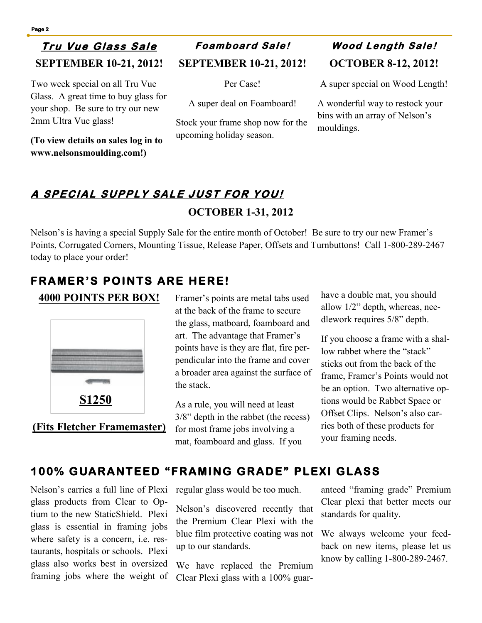### **Tr u V ue G lass S al <sup>e</sup> SEPTEMBER 10-21, 2012!**

Two week special on all Tru Vue Glass. A great time to buy glass for your shop. Be sure to try our new 2mm Ultra Vue glass!

**(To view details on sales log in to www.nelsonsmoulding.com!)**

**SEPTEMBER 10-21, 2012!**

Per Case!

A super deal on Foamboard!

Stock your frame shop now for the upcoming holiday season.

# **OCTOBER 8-12, 2012! F <sup>o</sup> amb oard Sa le ! W ood L <sup>e</sup> ngth S ale !**

A super special on Wood Length!

A wonderful way to restock your bins with an array of Nelson's mouldings.

## **A SP ECIA L S UPP LY SAL E J UST FOR YOU ! OCTOBER 1-31, 2012**

Nelson's is having a special Supply Sale for the entire month of October! Be sure to try our new Framer's Points, Corrugated Corners, Mounting Tissue, Release Paper, Offsets and Turnbuttons! Call 1-800-289-2467 today to place your order!

## **FRAMER'S POINTS ARE HERE!**

#### **4000 POINTS PER BOX!**



**(Fits Fletcher Framemaster)**

Framer's points are metal tabs used at the back of the frame to secure the glass, matboard, foamboard and art. The advantage that Framer's points have is they are flat, fire perpendicular into the frame and cover a broader area against the surface of the stack.

As a rule, you will need at least 3/8" depth in the rabbet (the recess) for most frame jobs involving a mat, foamboard and glass. If you

have a double mat, you should allow 1/2" depth, whereas, needlework requires 5/8" depth.

If you choose a frame with a shallow rabbet where the "stack" sticks out from the back of the frame, Framer's Points would not be an option. Two alternative options would be Rabbet Space or Offset Clips. Nelson's also carries both of these products for your framing needs.

### **100% GUARANTEED "FRAMING GRADE" PLEXI GLASS**

Nelson's carries a full line of Plexi glass products from Clear to Optium to the new StaticShield. Plexi glass is essential in framing jobs where safety is a concern, i.e. restaurants, hospitals or schools. Plexi glass also works best in oversized framing jobs where the weight of regular glass would be too much.

Nelson's discovered recently that the Premium Clear Plexi with the blue film protective coating was not up to our standards.

We have replaced the Premium Clear Plexi glass with a 100% guaranteed "framing grade" Premium Clear plexi that better meets our standards for quality.

We always welcome your feedback on new items, please let us know by calling 1-800-289-2467.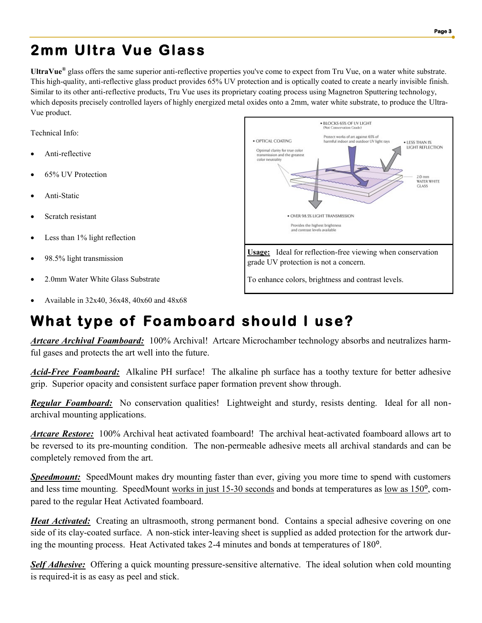# **2mm Ultra Vue Glass**

**UltraVue®** glass offers the same superior anti-reflective properties you've come to expect from Tru Vue, on a water white substrate. This high-quality, anti-reflective glass product provides 65% UV protection and is optically coated to create a nearly invisible finish. Similar to its other anti-reflective products, Tru Vue uses its proprietary coating process using Magnetron Sputtering technology, which deposits precisely controlled layers of highly energized metal oxides onto a 2mm, water white substrate, to produce the Ultra-Vue product.

Technical Info:

- Anti-reflective
- 65% UV Protection
- Anti-Static
- Scratch resistant
- Less than 1% light reflection
- 98.5% light transmission
- 2.0mm Water White Glass Substrate
- Available in 32x40, 36x48, 40x60 and 48x68

# **What type of Foamboard should I use?**

*Artcare Archival Foamboard:* 100% Archival! Artcare Microchamber technology absorbs and neutralizes harmful gases and protects the art well into the future.

*Acid-Free Foamboard:* Alkaline PH surface! The alkaline ph surface has a toothy texture for better adhesive grip. Superior opacity and consistent surface paper formation prevent show through.

*Regular Foamboard:* No conservation qualities! Lightweight and sturdy, resists denting. Ideal for all nonarchival mounting applications.

*Artcare Restore:* 100% Archival heat activated foamboard! The archival heat-activated foamboard allows art to be reversed to its pre-mounting condition. The non-permeable adhesive meets all archival standards and can be completely removed from the art.

*Speedmount:* SpeedMount makes dry mounting faster than ever, giving you more time to spend with customers and less time mounting. SpeedMount works in just 15-30 seconds and bonds at temperatures as low as 150<sup>o</sup>, compared to the regular Heat Activated foamboard.

*Heat Activated:* Creating an ultrasmooth, strong permanent bond. Contains a special adhesive covering on one side of its clay-coated surface. A non-stick inter-leaving sheet is supplied as added protection for the artwork during the mounting process. Heat Activated takes 2-4 minutes and bonds at temperatures of 180<sup>o</sup>.

*Self Adhesive:* Offering a quick mounting pressure-sensitive alternative. The ideal solution when cold mounting is required-it is as easy as peel and stick.



To enhance colors, brightness and contrast levels.